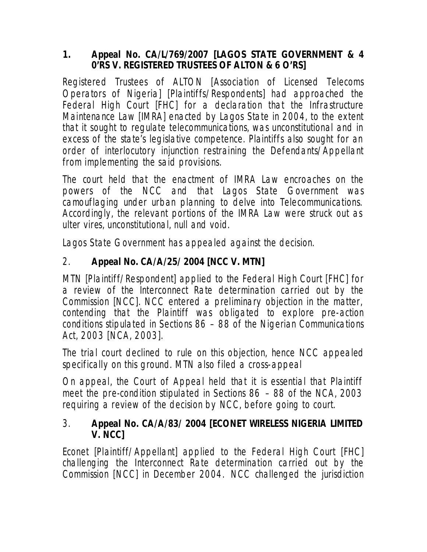### **1. Appeal No. CA/L/769/2007 [LAGOS STATE GOVERNMENT & 4 0'RS V. REGISTERED TRUSTEES OF ALTON & 6 O'RS]**

Registered Trustees of ALTON [Association of Licensed Telecoms Operators of Nigeria] [Plaintiffs/Respondents] had approached the Federal High Court [FHC] for a declaration that the Infrastructure Maintenance Law [IMRA] enacted by Lagos State in 2004, to the extent that it sought to regulate telecommunications, was unconstitutional and in excess of the state's legislative competence. Plaintiffs also sought for an order of interlocutory injunction restraining the Defendants/Appellant from implementing the said provisions.

The court held that the enactment of IMRA Law encroaches on the powers of the NCC and that Lagos State Government was camouflaging under urban planning to delve into Telecommunications. Accordingly, the relevant portions of the IMRA Law were struck out as *ulter vires*, unconstitutional, null and void.

Lagos State Government has appealed against the decision.

# 2. **Appeal No. CA/A/25/ 2004 [NCC V. MTN]**

MTN [Plaintiff/Respondent] applied to the Federal High Court [FHC] for a review of the Interconnect Rate determination carried out by the Commission [NCC]. NCC entered a preliminary objection in the matter, contending that the Plaintiff was obligated to explore pre-action conditions stipulated in Sections 86 – 88 of the Nigerian Communications Act, 2003 [NCA, 2003].

The trial court declined to rule on this objection, hence NCC appealed specifically on this ground. MTN also filed a cross-appeal

On appeal, the Court of Appeal held that it is essential that Plaintiff meet the pre-condition stipulated in Sections 86 – 88 of the NCA, 2003 requiring a review of the decision by NCC, before going to court.

## 3. **Appeal No. CA/A/83/ 2004 [ECONET WIRELESS NIGERIA LIMITED V. NCC]**

Econet [Plaintiff/Appellant] applied to the Federal High Court [FHC] challenging the Interconnect Rate determination carried out by the Commission [NCC] in December 2004. NCC challenged the jurisdiction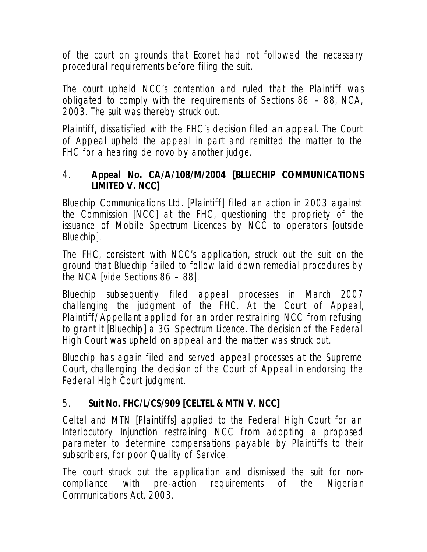of the court on grounds that Econet had not followed the necessary procedural requirements before filing the suit.

The court upheld NCC's contention and ruled that the Plaintiff was obligated to comply with the requirements of Sections 86 – 88, NCA, 2003. The suit was thereby struck out.

Plaintiff, dissatisfied with the FHC's decision filed an appeal. The Court of Appeal upheld the appeal in part and remitted the matter to the FHC for a hearing de novo by another judge.

### 4. **Appeal No. CA/A/108/M/2004 [BLUECHIP COMMUNICATIONS LIMITED V. NCC]**

Bluechip Communications Ltd. [Plaintiff] filed an action in 2003 against the Commission [NCC] at the FHC, questioning the propriety of the issuance of Mobile Spectrum Licences by NCC to operators [outside Bluechip].

The FHC, consistent with NCC's application, struck out the suit on the ground that Bluechip failed to follow laid down remedial procedures by the NCA [vide Sections 86 – 88].

Bluechip subsequently filed appeal processes in March 2007 challenging the judgment of the FHC. At the Court of Appeal, Plaintiff/Appellant applied for an order restraining NCC from refusing to grant it [Bluechip] a 3G Spectrum Licence. The decision of the Federal High Court was upheld on appeal and the matter was struck out.

Bluechip has again filed and served appeal processes at the Supreme Court, challenging the decision of the Court of Appeal in endorsing the Federal High Court judgment.

## 5. **Suit No. FHC/L/CS/909 [CELTEL & MTN V. NCC]**

Celtel and MTN [Plaintiffs] applied to the Federal High Court for an Interlocutory Injunction restraining NCC from adopting a proposed parameter to determine compensations payable by Plaintiffs to their subscribers, for poor Quality of Service.

The court struck out the application and dismissed the suit for noncompliance with pre-action requirements of the Nigerian Communications Act, 2003.